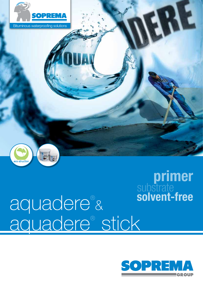



# aquadere® & aquadere® stick



RE